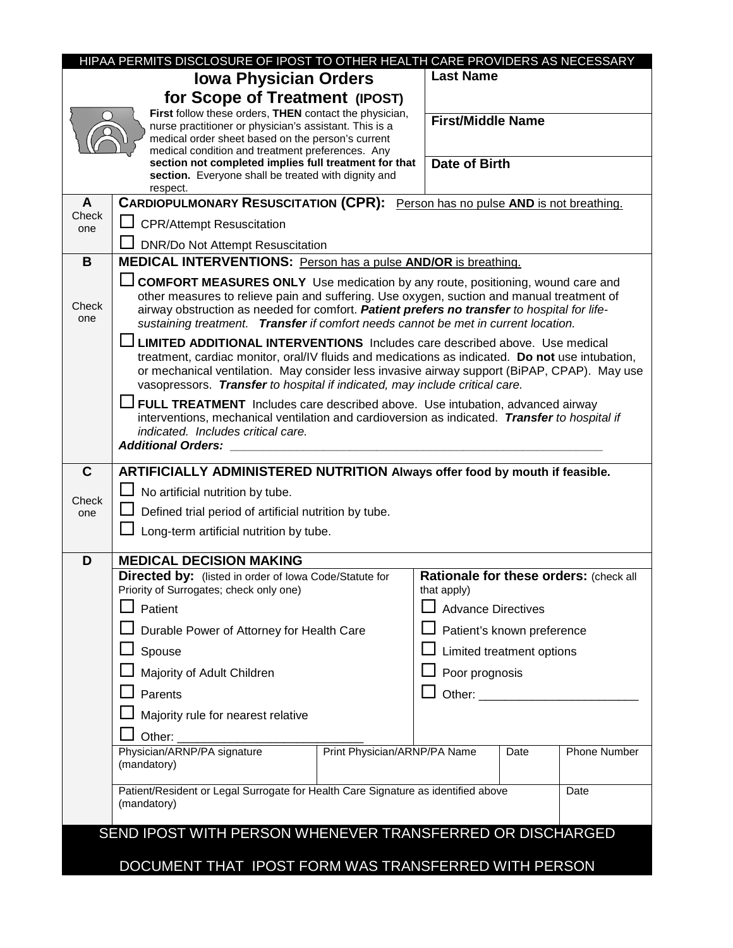|                                                                                                  | HIPAA PERMITS DISCLOSURE OF IPOST TO OTHER HEALTH CARE PROVIDERS AS NECESSARY                                                                                                                                                                                                                                                                                           |                                                       |                                                                                                                                                                                                                                |                           |                     |  |  |
|--------------------------------------------------------------------------------------------------|-------------------------------------------------------------------------------------------------------------------------------------------------------------------------------------------------------------------------------------------------------------------------------------------------------------------------------------------------------------------------|-------------------------------------------------------|--------------------------------------------------------------------------------------------------------------------------------------------------------------------------------------------------------------------------------|---------------------------|---------------------|--|--|
|                                                                                                  | <b>Iowa Physician Orders</b>                                                                                                                                                                                                                                                                                                                                            |                                                       | <b>Last Name</b>                                                                                                                                                                                                               |                           |                     |  |  |
|                                                                                                  | for Scope of Treatment (IPOST)                                                                                                                                                                                                                                                                                                                                          |                                                       |                                                                                                                                                                                                                                |                           |                     |  |  |
|                                                                                                  | First follow these orders, THEN contact the physician,<br>nurse practitioner or physician's assistant. This is a<br>medical order sheet based on the person's current<br>medical condition and treatment preferences. Any<br>section not completed implies full treatment for that                                                                                      |                                                       | <b>Date of Birth</b>                                                                                                                                                                                                           | <b>First/Middle Name</b>  |                     |  |  |
|                                                                                                  | section. Everyone shall be treated with dignity and<br>respect.                                                                                                                                                                                                                                                                                                         |                                                       |                                                                                                                                                                                                                                |                           |                     |  |  |
| A                                                                                                | CARDIOPULMONARY RESUSCITATION (CPR): Person has no pulse AND is not breathing.                                                                                                                                                                                                                                                                                          |                                                       |                                                                                                                                                                                                                                |                           |                     |  |  |
| Check<br>one                                                                                     | <b>CPR/Attempt Resuscitation</b>                                                                                                                                                                                                                                                                                                                                        |                                                       |                                                                                                                                                                                                                                |                           |                     |  |  |
| B                                                                                                |                                                                                                                                                                                                                                                                                                                                                                         | <b>DNR/Do Not Attempt Resuscitation</b>               |                                                                                                                                                                                                                                |                           |                     |  |  |
|                                                                                                  | <b>MEDICAL INTERVENTIONS:</b> Person has a pulse AND/OR is breathing.                                                                                                                                                                                                                                                                                                   |                                                       |                                                                                                                                                                                                                                |                           |                     |  |  |
| Check<br>one                                                                                     | <b>COMFORT MEASURES ONLY</b> Use medication by any route, positioning, wound care and<br>other measures to relieve pain and suffering. Use oxygen, suction and manual treatment of<br>airway obstruction as needed for comfort. Patient prefers no transfer to hospital for life-<br>sustaining treatment. Transfer if comfort needs cannot be met in current location. |                                                       |                                                                                                                                                                                                                                |                           |                     |  |  |
|                                                                                                  | <b>LIMITED ADDITIONAL INTERVENTIONS</b> Includes care described above. Use medical<br>treatment, cardiac monitor, oral/IV fluids and medications as indicated. Do not use intubation,<br>or mechanical ventilation. May consider less invasive airway support (BiPAP, CPAP). May use<br>vasopressors. Transfer to hospital if indicated, may include critical care.     |                                                       |                                                                                                                                                                                                                                |                           |                     |  |  |
|                                                                                                  | <b>J FULL TREATMENT</b> Includes care described above. Use intubation, advanced airway<br>interventions, mechanical ventilation and cardioversion as indicated. Transfer to hospital if<br>indicated. Includes critical care.<br><b>Additional Orders:</b>                                                                                                              |                                                       |                                                                                                                                                                                                                                |                           |                     |  |  |
| $\mathbf C$                                                                                      | ARTIFICIALLY ADMINISTERED NUTRITION Always offer food by mouth if feasible.                                                                                                                                                                                                                                                                                             |                                                       |                                                                                                                                                                                                                                |                           |                     |  |  |
| Check                                                                                            | $\Box$ No artificial nutrition by tube.                                                                                                                                                                                                                                                                                                                                 |                                                       |                                                                                                                                                                                                                                |                           |                     |  |  |
| one                                                                                              | Defined trial period of artificial nutrition by tube.                                                                                                                                                                                                                                                                                                                   |                                                       |                                                                                                                                                                                                                                |                           |                     |  |  |
|                                                                                                  | Long-term artificial nutrition by tube.                                                                                                                                                                                                                                                                                                                                 |                                                       |                                                                                                                                                                                                                                |                           |                     |  |  |
| D                                                                                                | <b>MEDICAL DECISION MAKING</b>                                                                                                                                                                                                                                                                                                                                          |                                                       |                                                                                                                                                                                                                                |                           |                     |  |  |
|                                                                                                  | <b>Directed by:</b> (listed in order of lowa Code/Statute for<br>Priority of Surrogates; check only one)                                                                                                                                                                                                                                                                | Rationale for these orders: (check all<br>that apply) |                                                                                                                                                                                                                                |                           |                     |  |  |
|                                                                                                  | Patient                                                                                                                                                                                                                                                                                                                                                                 |                                                       |                                                                                                                                                                                                                                | <b>Advance Directives</b> |                     |  |  |
|                                                                                                  | Durable Power of Attorney for Health Care                                                                                                                                                                                                                                                                                                                               |                                                       | Patient's known preference                                                                                                                                                                                                     |                           |                     |  |  |
|                                                                                                  | Spouse                                                                                                                                                                                                                                                                                                                                                                  |                                                       | Limited treatment options                                                                                                                                                                                                      |                           |                     |  |  |
|                                                                                                  | Majority of Adult Children                                                                                                                                                                                                                                                                                                                                              |                                                       | Poor prognosis                                                                                                                                                                                                                 |                           |                     |  |  |
|                                                                                                  | Parents                                                                                                                                                                                                                                                                                                                                                                 |                                                       | Other: Website the Contract of the Contract of the Contract of the Contract of the Contract of the Contract of the Contract of the Contract of the Contract of the Contract of the Contract of the Contract of the Contract of |                           |                     |  |  |
|                                                                                                  | Majority rule for nearest relative                                                                                                                                                                                                                                                                                                                                      |                                                       |                                                                                                                                                                                                                                |                           |                     |  |  |
|                                                                                                  | Other:                                                                                                                                                                                                                                                                                                                                                                  |                                                       |                                                                                                                                                                                                                                |                           |                     |  |  |
|                                                                                                  | Physician/ARNP/PA signature<br>(mandatory)                                                                                                                                                                                                                                                                                                                              | Print Physician/ARNP/PA Name                          |                                                                                                                                                                                                                                | Date                      | <b>Phone Number</b> |  |  |
| Patient/Resident or Legal Surrogate for Health Care Signature as identified above<br>(mandatory) |                                                                                                                                                                                                                                                                                                                                                                         |                                                       |                                                                                                                                                                                                                                |                           | Date                |  |  |
| SEND IPOST WITH PERSON WHENEVER TRANSFERRED OR DISCHARGED                                        |                                                                                                                                                                                                                                                                                                                                                                         |                                                       |                                                                                                                                                                                                                                |                           |                     |  |  |
|                                                                                                  | DOCUMENT THAT IPOST FORM WAS TRANSFERRED WITH PERSON                                                                                                                                                                                                                                                                                                                    |                                                       |                                                                                                                                                                                                                                |                           |                     |  |  |